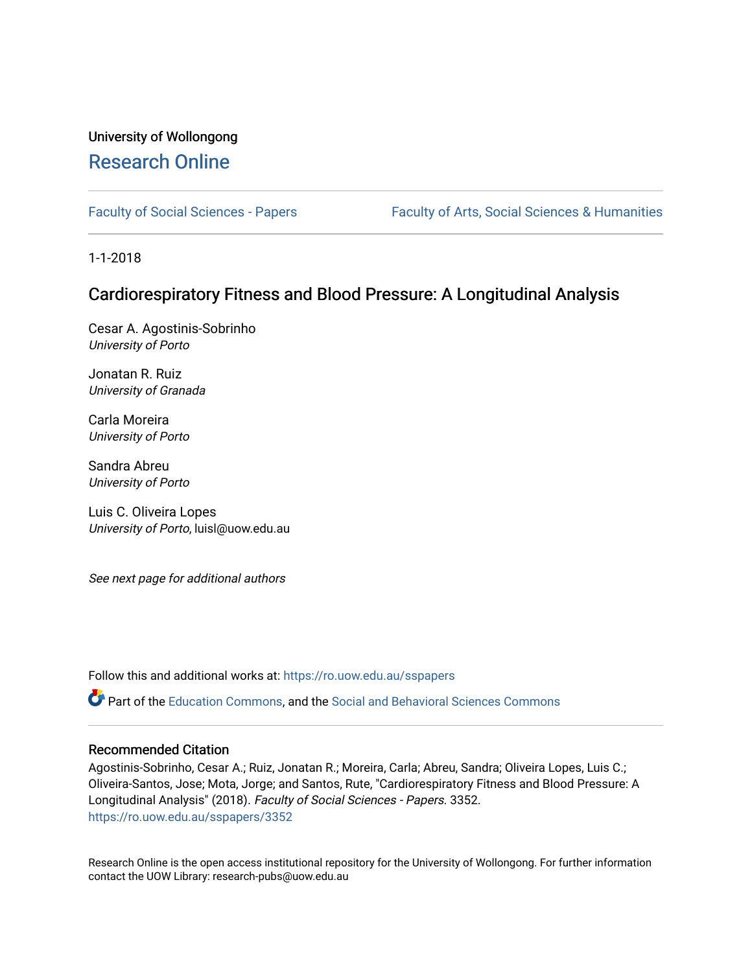# University of Wollongong [Research Online](https://ro.uow.edu.au/)

[Faculty of Social Sciences - Papers](https://ro.uow.edu.au/sspapers) Faculty of Arts, Social Sciences & Humanities

1-1-2018

# Cardiorespiratory Fitness and Blood Pressure: A Longitudinal Analysis

Cesar A. Agostinis-Sobrinho University of Porto

Jonatan R. Ruiz University of Granada

Carla Moreira University of Porto

Sandra Abreu University of Porto

Luis C. Oliveira Lopes University of Porto, luisl@uow.edu.au

See next page for additional authors

Follow this and additional works at: [https://ro.uow.edu.au/sspapers](https://ro.uow.edu.au/sspapers?utm_source=ro.uow.edu.au%2Fsspapers%2F3352&utm_medium=PDF&utm_campaign=PDFCoverPages) 

Part of the [Education Commons](http://network.bepress.com/hgg/discipline/784?utm_source=ro.uow.edu.au%2Fsspapers%2F3352&utm_medium=PDF&utm_campaign=PDFCoverPages), and the [Social and Behavioral Sciences Commons](http://network.bepress.com/hgg/discipline/316?utm_source=ro.uow.edu.au%2Fsspapers%2F3352&utm_medium=PDF&utm_campaign=PDFCoverPages) 

#### Recommended Citation

Agostinis-Sobrinho, Cesar A.; Ruiz, Jonatan R.; Moreira, Carla; Abreu, Sandra; Oliveira Lopes, Luis C.; Oliveira-Santos, Jose; Mota, Jorge; and Santos, Rute, "Cardiorespiratory Fitness and Blood Pressure: A Longitudinal Analysis" (2018). Faculty of Social Sciences - Papers. 3352. [https://ro.uow.edu.au/sspapers/3352](https://ro.uow.edu.au/sspapers/3352?utm_source=ro.uow.edu.au%2Fsspapers%2F3352&utm_medium=PDF&utm_campaign=PDFCoverPages)

Research Online is the open access institutional repository for the University of Wollongong. For further information contact the UOW Library: research-pubs@uow.edu.au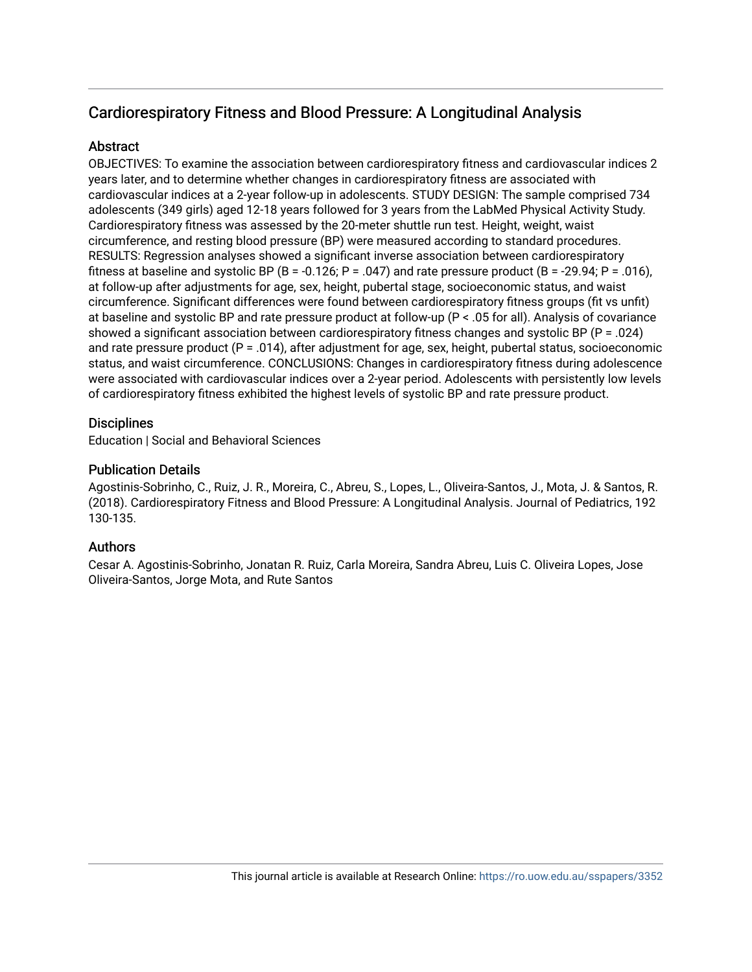# Cardiorespiratory Fitness and Blood Pressure: A Longitudinal Analysis

# Abstract

OBJECTIVES: To examine the association between cardiorespiratory fitness and cardiovascular indices 2 years later, and to determine whether changes in cardiorespiratory fitness are associated with cardiovascular indices at a 2-year follow-up in adolescents. STUDY DESIGN: The sample comprised 734 adolescents (349 girls) aged 12-18 years followed for 3 years from the LabMed Physical Activity Study. Cardiorespiratory fitness was assessed by the 20-meter shuttle run test. Height, weight, waist circumference, and resting blood pressure (BP) were measured according to standard procedures. RESULTS: Regression analyses showed a significant inverse association between cardiorespiratory fitness at baseline and systolic BP (B = -0.126; P = .047) and rate pressure product (B = -29.94; P = .016), at follow-up after adjustments for age, sex, height, pubertal stage, socioeconomic status, and waist circumference. Significant differences were found between cardiorespiratory fitness groups (fit vs unfit) at baseline and systolic BP and rate pressure product at follow-up (P < .05 for all). Analysis of covariance showed a significant association between cardiorespiratory fitness changes and systolic BP (P = .024) and rate pressure product  $(P = .014)$ , after adjustment for age, sex, height, pubertal status, socioeconomic status, and waist circumference. CONCLUSIONS: Changes in cardiorespiratory fitness during adolescence were associated with cardiovascular indices over a 2-year period. Adolescents with persistently low levels of cardiorespiratory fitness exhibited the highest levels of systolic BP and rate pressure product.

# **Disciplines**

Education | Social and Behavioral Sciences

# Publication Details

Agostinis-Sobrinho, C., Ruiz, J. R., Moreira, C., Abreu, S., Lopes, L., Oliveira-Santos, J., Mota, J. & Santos, R. (2018). Cardiorespiratory Fitness and Blood Pressure: A Longitudinal Analysis. Journal of Pediatrics, 192 130-135.

# Authors

Cesar A. Agostinis-Sobrinho, Jonatan R. Ruiz, Carla Moreira, Sandra Abreu, Luis C. Oliveira Lopes, Jose Oliveira-Santos, Jorge Mota, and Rute Santos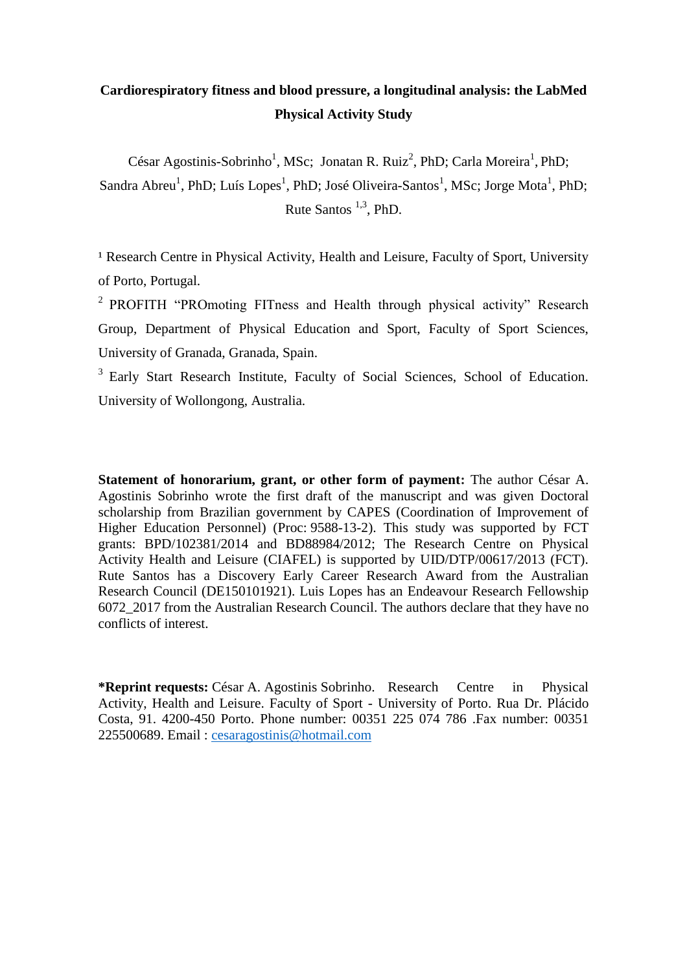# **Cardiorespiratory fitness and blood pressure, a longitudinal analysis: the LabMed Physical Activity Study**

César Agostinis-Sobrinho<sup>1</sup>, MSc; Jonatan R. Ruiz<sup>2</sup>, PhD; Carla Moreira<sup>1</sup>, PhD; Sandra Abreu<sup>1</sup>, PhD; Luís Lopes<sup>1</sup>, PhD; José Oliveira-Santos<sup>1</sup>, MSc; Jorge Mota<sup>1</sup>, PhD; Rute Santos  $^{1,3}$ , PhD.

<sup>1</sup> Research Centre in Physical Activity, Health and Leisure, Faculty of Sport, University of Porto, Portugal.

<sup>2</sup> PROFITH "PROmoting FITness and Health through physical activity" Research Group, Department of Physical Education and Sport, Faculty of Sport Sciences, University of Granada, Granada, Spain.

<sup>3</sup> Early Start Research Institute, Faculty of Social Sciences, School of Education. University of Wollongong, Australia.

**Statement of honorarium, grant, or other form of payment:** The author César A. Agostinis Sobrinho wrote the first draft of the manuscript and was given Doctoral scholarship from Brazilian government by CAPES (Coordination of Improvement of Higher Education Personnel) (Proc: 9588-13-2). This study was supported by FCT grants: BPD/102381/2014 and BD88984/2012; The Research Centre on Physical Activity Health and Leisure (CIAFEL) is supported by UID/DTP/00617/2013 (FCT). Rute Santos has a Discovery Early Career Research Award from the Australian Research Council (DE150101921). Luis Lopes has an Endeavour Research Fellowship 6072\_2017 from the Australian Research Council. The authors declare that they have no conflicts of interest.

**\*Reprint requests:** César A. Agostinis Sobrinho. Research Centre in Physical Activity, Health and Leisure. Faculty of Sport - University of Porto. Rua Dr. Plácido Costa, 91. 4200-450 Porto. Phone number: 00351 225 074 786 .Fax number: 00351 225500689. Email: [cesaragostinis@hotmail.com](mailto:cesaragostinis@hotmail.com)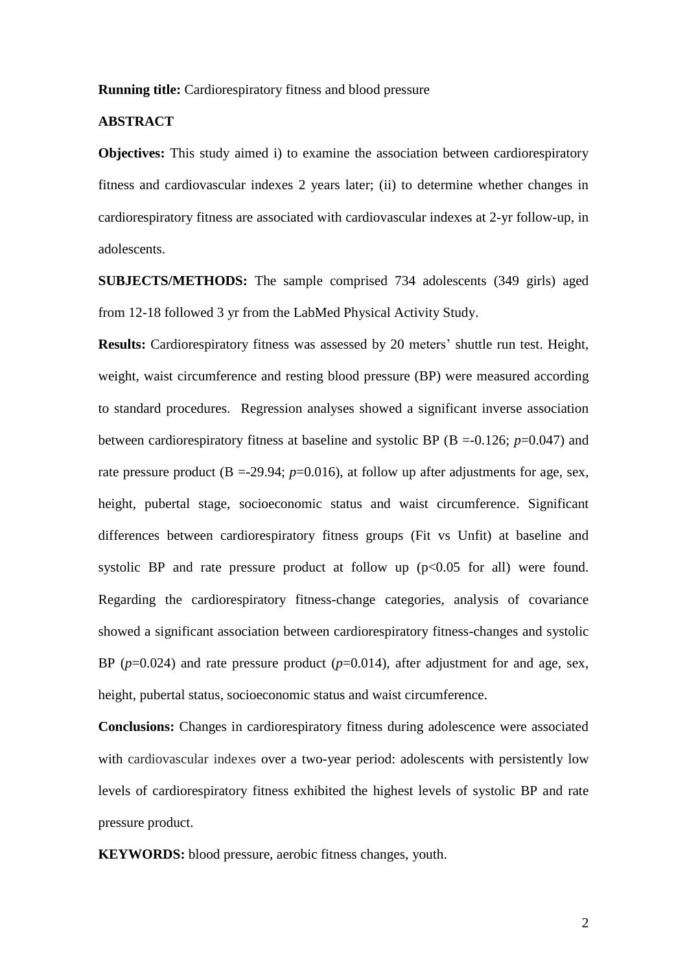**Running title:** Cardiorespiratory fitness and blood pressure

# **ABSTRACT**

**Objectives:** This study aimed i) to examine the association between cardiorespiratory fitness and cardiovascular indexes 2 years later; (ii) to determine whether changes in cardiorespiratory fitness are associated with cardiovascular indexes at 2-yr follow-up, in adolescents.

**SUBJECTS/METHODS:** The sample comprised 734 adolescents (349 girls) aged from 12-18 followed 3 yr from the LabMed Physical Activity Study.

**Results:** Cardiorespiratory fitness was assessed by 20 meters' shuttle run test. Height, weight, waist circumference and resting blood pressure (BP) were measured according to standard procedures. Regression analyses showed a significant inverse association between cardiorespiratory fitness at baseline and systolic BP ( $B = -0.126$ ;  $p = 0.047$ ) and rate pressure product  $(B = -29.94; p = 0.016)$ , at follow up after adjustments for age, sex, height, pubertal stage, socioeconomic status and waist circumference. Significant differences between cardiorespiratory fitness groups (Fit vs Unfit) at baseline and systolic BP and rate pressure product at follow up  $(p<0.05$  for all) were found. Regarding the cardiorespiratory fitness-change categories, analysis of covariance showed a significant association between cardiorespiratory fitness-changes and systolic BP  $(p=0.024)$  and rate pressure product  $(p=0.014)$ , after adjustment for and age, sex, height, pubertal status, socioeconomic status and waist circumference.

**Conclusions:** Changes in cardiorespiratory fitness during adolescence were associated with cardiovascular indexes over a two-year period: adolescents with persistently low levels of cardiorespiratory fitness exhibited the highest levels of systolic BP and rate pressure product.

**KEYWORDS:** blood pressure, aerobic fitness changes, youth.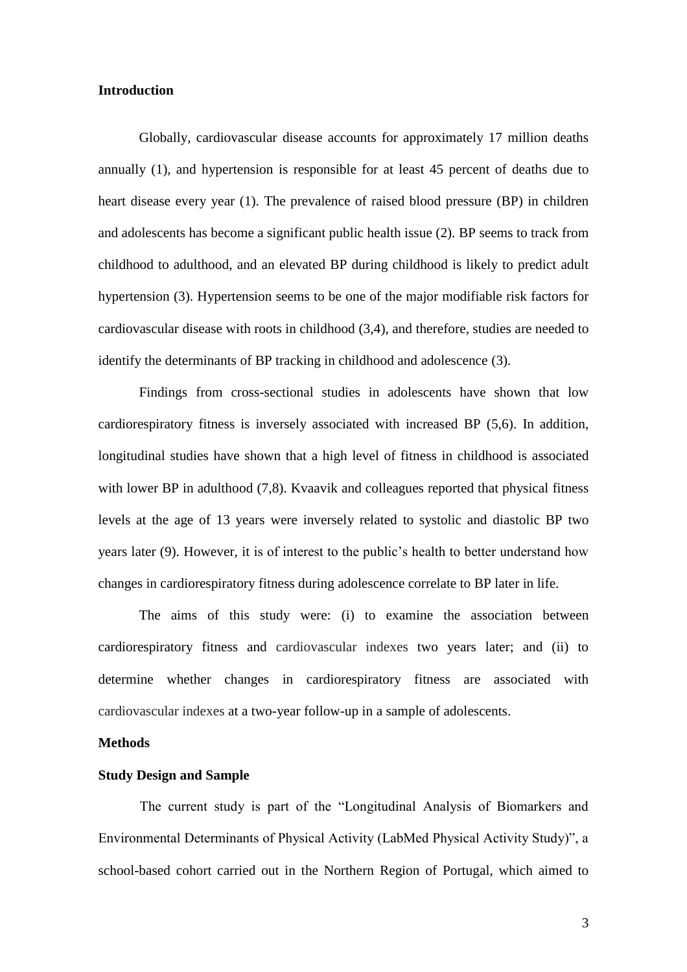#### **Introduction**

Globally, cardiovascular disease accounts for approximately 17 million deaths annually (1), and hypertension is responsible for at least 45 percent of deaths due to heart disease every year (1). The prevalence of raised blood pressure (BP) in children and adolescents has become a significant public health issue (2). BP seems to track from childhood to adulthood, and an elevated BP during childhood is likely to predict adult hypertension (3). Hypertension seems to be one of the major modifiable risk factors for cardiovascular disease with roots in childhood (3,4), and therefore, studies are needed to identify the determinants of BP tracking in childhood and adolescence (3).

Findings from cross-sectional studies in adolescents have shown that low cardiorespiratory fitness is inversely associated with increased BP (5,6). In addition, longitudinal studies have shown that a high level of fitness in childhood is associated with lower BP in adulthood (7,8). Kvaavik and colleagues reported that physical fitness levels at the age of 13 years were inversely related to systolic and diastolic BP two years later (9). However, it is of interest to the public's health to better understand how changes in cardiorespiratory fitness during adolescence correlate to BP later in life.

The aims of this study were: (i) to examine the association between cardiorespiratory fitness and cardiovascular indexes two years later; and (ii) to determine whether changes in cardiorespiratory fitness are associated with cardiovascular indexes at a two-year follow-up in a sample of adolescents.

### **Methods**

#### **Study Design and Sample**

The current study is part of the "Longitudinal Analysis of Biomarkers and Environmental Determinants of Physical Activity (LabMed Physical Activity Study)", a school-based cohort carried out in the Northern Region of Portugal, which aimed to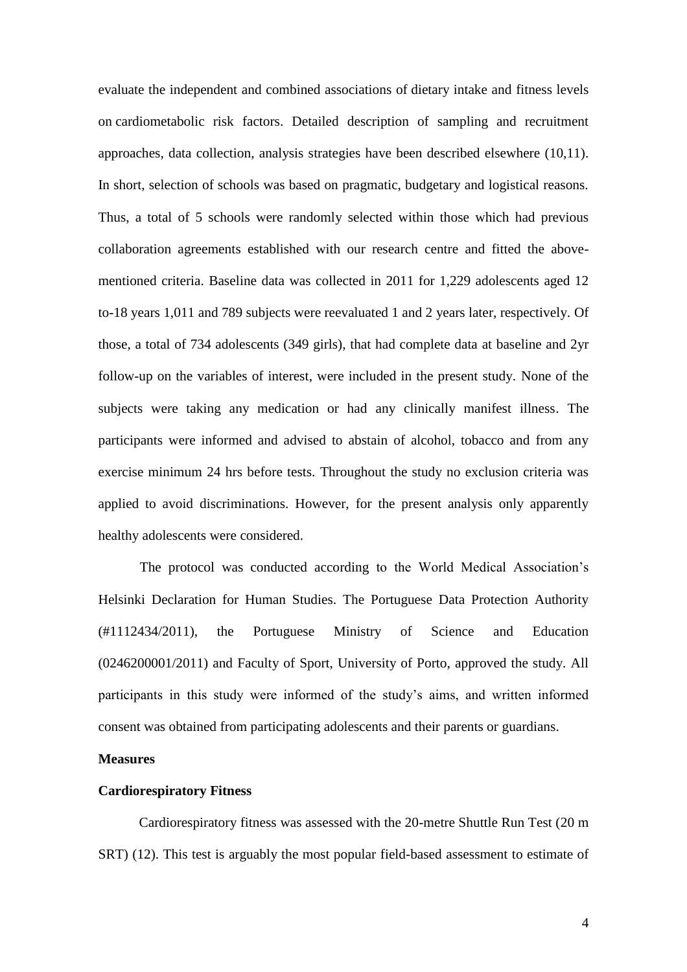evaluate the independent and combined associations of dietary intake and fitness levels on cardiometabolic risk factors. Detailed description of sampling and recruitment approaches, data collection, analysis strategies have been described elsewhere (10,11). In short, selection of schools was based on pragmatic, budgetary and logistical reasons. Thus, a total of 5 schools were randomly selected within those which had previous collaboration agreements established with our research centre and fitted the abovementioned criteria. Baseline data was collected in 2011 for 1,229 adolescents aged 12 to-18 years 1,011 and 789 subjects were reevaluated 1 and 2 years later, respectively. Of those, a total of 734 adolescents (349 girls), that had complete data at baseline and 2yr follow-up on the variables of interest, were included in the present study. None of the subjects were taking any medication or had any clinically manifest illness. The participants were informed and advised to abstain of alcohol, tobacco and from any exercise minimum 24 hrs before tests. Throughout the study no exclusion criteria was applied to avoid discriminations. However, for the present analysis only apparently healthy adolescents were considered.

The protocol was conducted according to the World Medical Association's Helsinki Declaration for Human Studies. The Portuguese Data Protection Authority (#1112434/2011), the Portuguese Ministry of Science and Education (0246200001/2011) and Faculty of Sport, University of Porto, approved the study. All participants in this study were informed of the study's aims, and written informed consent was obtained from participating adolescents and their parents or guardians.

#### **Measures**

#### **Cardiorespiratory Fitness**

Cardiorespiratory fitness was assessed with the 20-metre Shuttle Run Test (20 m SRT) (12). This test is arguably the most popular field-based assessment to estimate of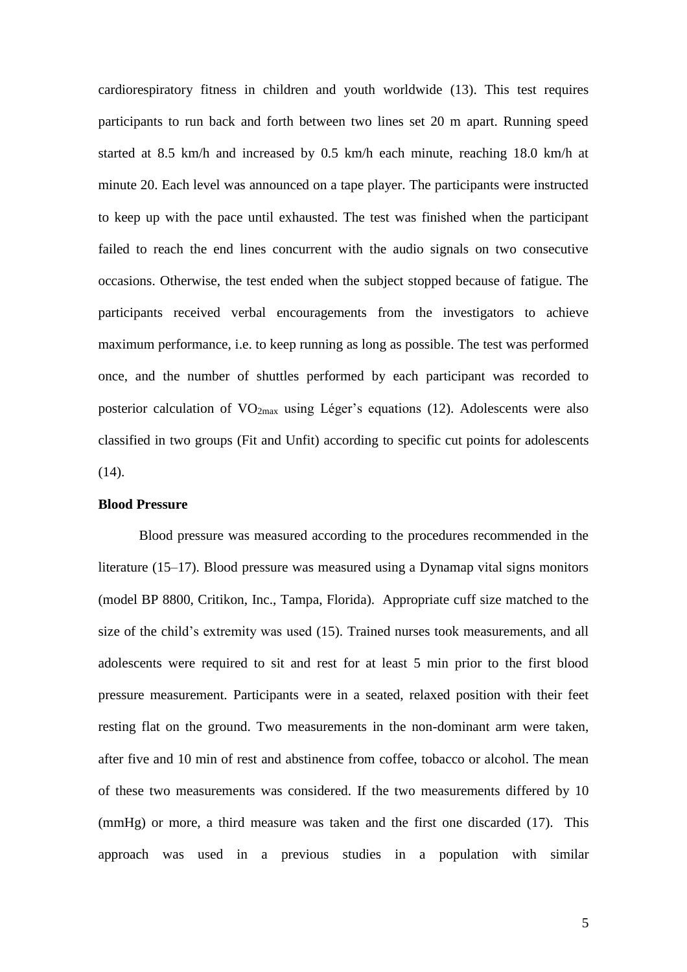cardiorespiratory fitness in children and youth worldwide (13). This test requires participants to run back and forth between two lines set 20 m apart. Running speed started at 8.5 km/h and increased by 0.5 km/h each minute, reaching 18.0 km/h at minute 20. Each level was announced on a tape player. The participants were instructed to keep up with the pace until exhausted. The test was finished when the participant failed to reach the end lines concurrent with the audio signals on two consecutive occasions. Otherwise, the test ended when the subject stopped because of fatigue. The participants received verbal encouragements from the investigators to achieve maximum performance, i.e. to keep running as long as possible. The test was performed once, and the number of shuttles performed by each participant was recorded to posterior calculation of  $VO<sub>2max</sub>$  using Léger's equations (12). Adolescents were also classified in two groups (Fit and Unfit) according to specific cut points for adolescents  $(14)$ .

## **Blood Pressure**

Blood pressure was measured according to the procedures recommended in the literature (15–17). Blood pressure was measured using a Dynamap vital signs monitors (model BP 8800, Critikon, Inc., Tampa, Florida). Appropriate cuff size matched to the size of the child's extremity was used (15). Trained nurses took measurements, and all adolescents were required to sit and rest for at least 5 min prior to the first blood pressure measurement. Participants were in a seated, relaxed position with their feet resting flat on the ground. Two measurements in the non-dominant arm were taken, after five and 10 min of rest and abstinence from coffee, tobacco or alcohol. The mean of these two measurements was considered. If the two measurements differed by 10 (mmHg) or more, a third measure was taken and the first one discarded (17). This approach was used in a previous studies in a population with similar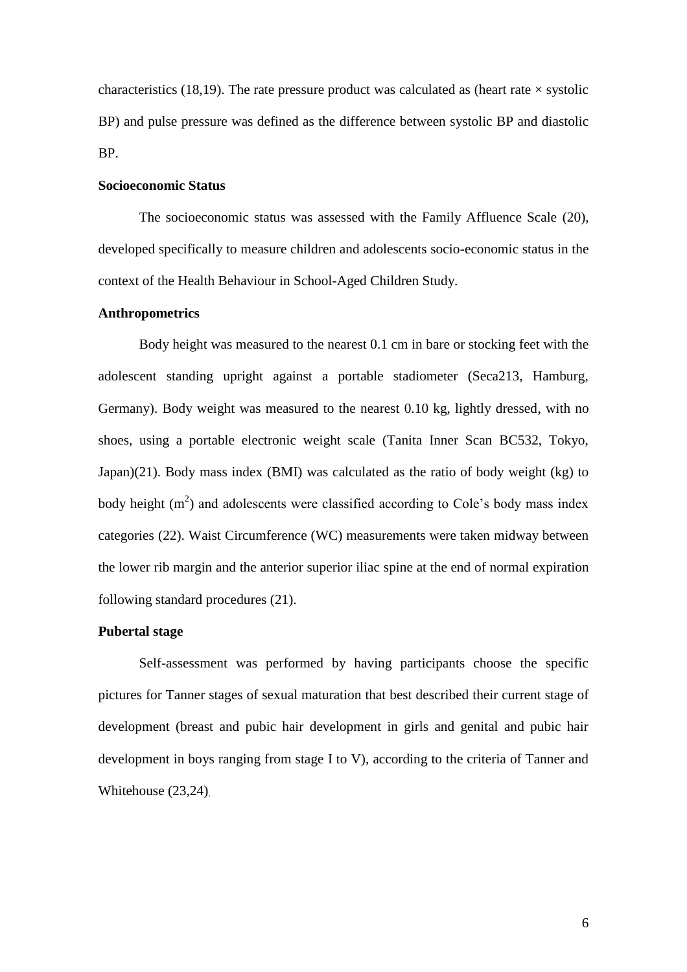characteristics (18,19). The rate pressure product was calculated as (heart rate  $\times$  systolic BP) and pulse pressure was defined as the difference between systolic BP and diastolic BP.

# **Socioeconomic Status**

The socioeconomic status was assessed with the Family Affluence Scale (20), developed specifically to measure children and adolescents socio-economic status in the context of the Health Behaviour in School-Aged Children Study.

#### **Anthropometrics**

Body height was measured to the nearest 0.1 cm in bare or stocking feet with the adolescent standing upright against a portable stadiometer (Seca213, Hamburg, Germany). Body weight was measured to the nearest 0.10 kg, lightly dressed, with no shoes, using a portable electronic weight scale (Tanita Inner Scan BC532, Tokyo, Japan)(21). Body mass index (BMI) was calculated as the ratio of body weight (kg) to body height  $(m<sup>2</sup>)$  and adolescents were classified according to Cole's body mass index categories (22). Waist Circumference (WC) measurements were taken midway between the lower rib margin and the anterior superior iliac spine at the end of normal expiration following standard procedures (21).

## **Pubertal stage**

Self-assessment was performed by having participants choose the specific pictures for Tanner stages of sexual maturation that best described their current stage of development (breast and pubic hair development in girls and genital and pubic hair development in boys ranging from stage I to V), according to the criteria of Tanner and Whitehouse  $(23,24)$ .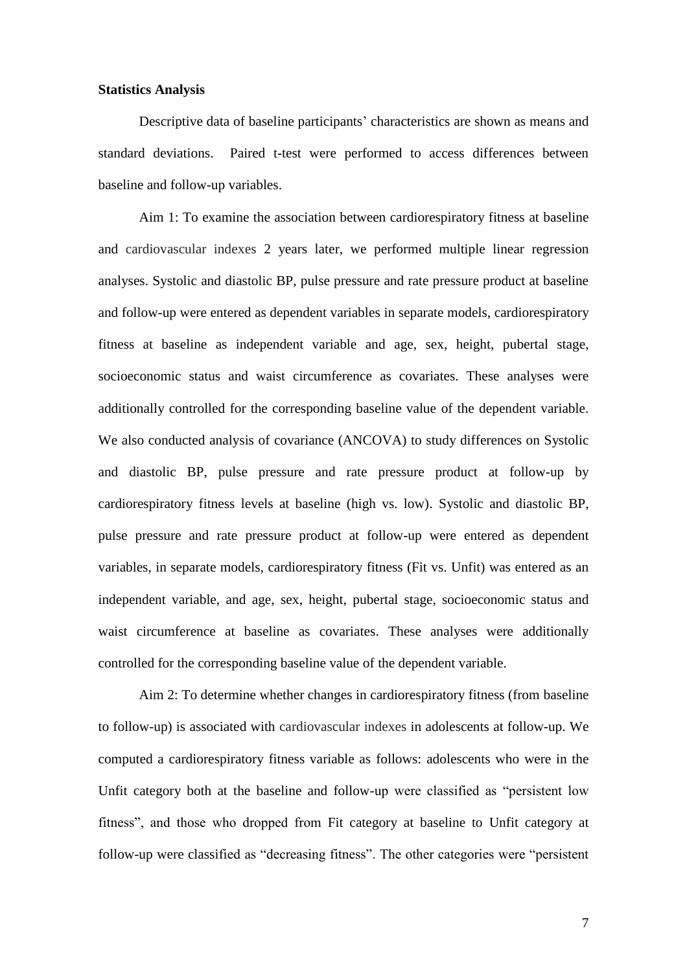#### **Statistics Analysis**

Descriptive data of baseline participants' characteristics are shown as means and standard deviations. Paired t-test were performed to access differences between baseline and follow-up variables.

Aim 1: To examine the association between cardiorespiratory fitness at baseline and cardiovascular indexes 2 years later, we performed multiple linear regression analyses. Systolic and diastolic BP, pulse pressure and rate pressure product at baseline and follow-up were entered as dependent variables in separate models, cardiorespiratory fitness at baseline as independent variable and age, sex, height, pubertal stage, socioeconomic status and waist circumference as covariates. These analyses were additionally controlled for the corresponding baseline value of the dependent variable. We also conducted analysis of covariance (ANCOVA) to study differences on Systolic and diastolic BP, pulse pressure and rate pressure product at follow-up by cardiorespiratory fitness levels at baseline (high vs. low). Systolic and diastolic BP, pulse pressure and rate pressure product at follow-up were entered as dependent variables, in separate models, cardiorespiratory fitness (Fit vs. Unfit) was entered as an independent variable, and age, sex, height, pubertal stage, socioeconomic status and waist circumference at baseline as covariates. These analyses were additionally controlled for the corresponding baseline value of the dependent variable.

Aim 2: To determine whether changes in cardiorespiratory fitness (from baseline to follow-up) is associated with cardiovascular indexes in adolescents at follow-up. We computed a cardiorespiratory fitness variable as follows: adolescents who were in the Unfit category both at the baseline and follow-up were classified as "persistent low fitness", and those who dropped from Fit category at baseline to Unfit category at follow-up were classified as "decreasing fitness". The other categories were "persistent

7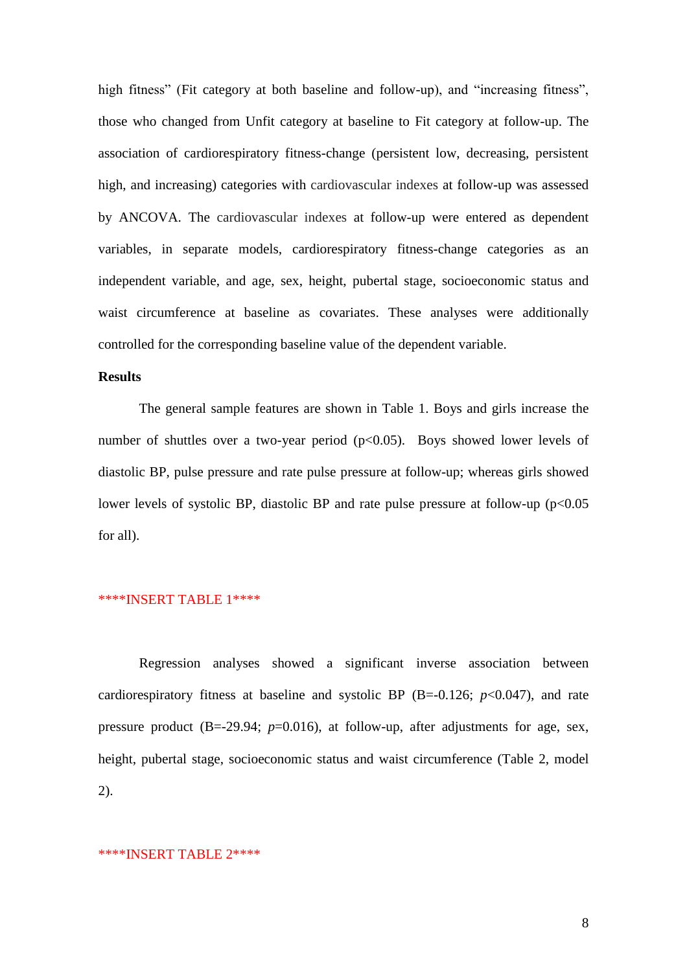high fitness" (Fit category at both baseline and follow-up), and "increasing fitness", those who changed from Unfit category at baseline to Fit category at follow-up. The association of cardiorespiratory fitness-change (persistent low, decreasing, persistent high, and increasing) categories with cardiovascular indexes at follow-up was assessed by ANCOVA. The cardiovascular indexes at follow-up were entered as dependent variables, in separate models, cardiorespiratory fitness-change categories as an independent variable, and age, sex, height, pubertal stage, socioeconomic status and waist circumference at baseline as covariates. These analyses were additionally controlled for the corresponding baseline value of the dependent variable.

## **Results**

The general sample features are shown in Table 1. Boys and girls increase the number of shuttles over a two-year period (p<0.05). Boys showed lower levels of diastolic BP, pulse pressure and rate pulse pressure at follow-up; whereas girls showed lower levels of systolic BP, diastolic BP and rate pulse pressure at follow-up  $(p<0.05$ for all).

#### \*\*\*\*INSERT TABLE 1\*\*\*\*

Regression analyses showed a significant inverse association between cardiorespiratory fitness at baseline and systolic BP  $(B=-0.126; p<0.047)$ , and rate pressure product (B=-29.94; *p*=0.016), at follow-up, after adjustments for age, sex, height, pubertal stage, socioeconomic status and waist circumference (Table 2, model 2).

#### \*\*\*\*INSERT TABLE 2\*\*\*\*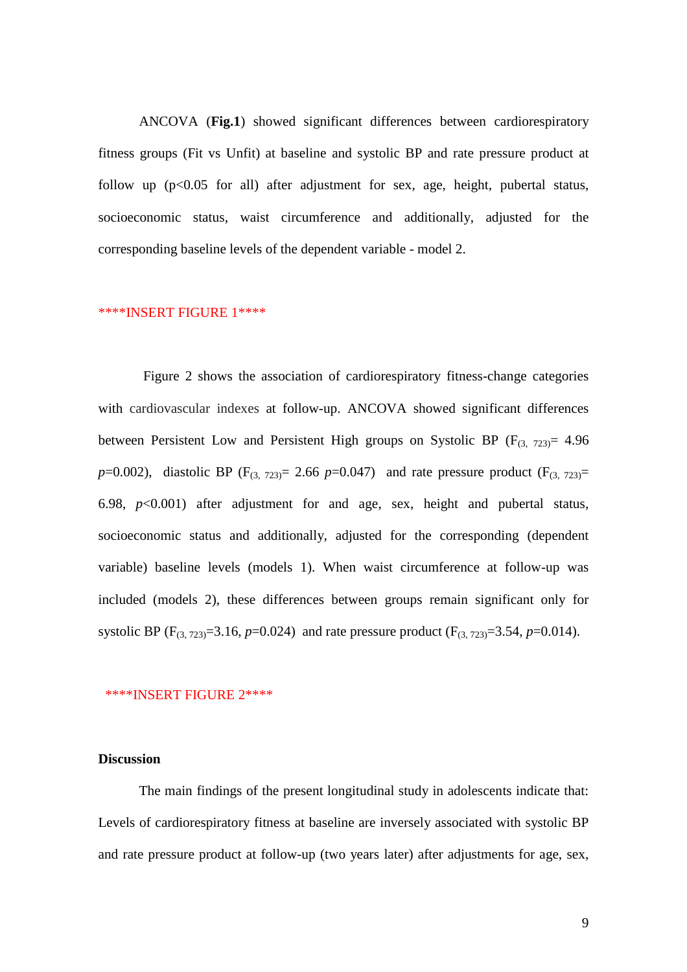ANCOVA (**Fig.1**) showed significant differences between cardiorespiratory fitness groups (Fit vs Unfit) at baseline and systolic BP and rate pressure product at follow up  $(p<0.05$  for all) after adjustment for sex, age, height, pubertal status, socioeconomic status, waist circumference and additionally, adjusted for the corresponding baseline levels of the dependent variable - model 2.

### \*\*\*\*INSERT FIGURE 1\*\*\*\*

 Figure 2 shows the association of cardiorespiratory fitness-change categories with cardiovascular indexes at follow-up. ANCOVA showed significant differences between Persistent Low and Persistent High groups on Systolic BP ( $F_{(3, 723)}$  = 4.96 *p*=0.002), diastolic BP (F<sub>(3, 723)</sub> = 2.66 *p*=0.047) and rate pressure product (F<sub>(3, 723)</sub> = 6.98,  $p<0.001$ ) after adjustment for and age, sex, height and pubertal status, socioeconomic status and additionally, adjusted for the corresponding (dependent variable) baseline levels (models 1). When waist circumference at follow-up was included (models 2), these differences between groups remain significant only for systolic BP ( $F_{(3, 723)} = 3.16$ ,  $p = 0.024$ ) and rate pressure product ( $F_{(3, 723)} = 3.54$ ,  $p = 0.014$ ).

#### \*\*\*\*INSERT FIGURE 2\*\*\*\*

## **Discussion**

The main findings of the present longitudinal study in adolescents indicate that: Levels of cardiorespiratory fitness at baseline are inversely associated with systolic BP and rate pressure product at follow-up (two years later) after adjustments for age, sex,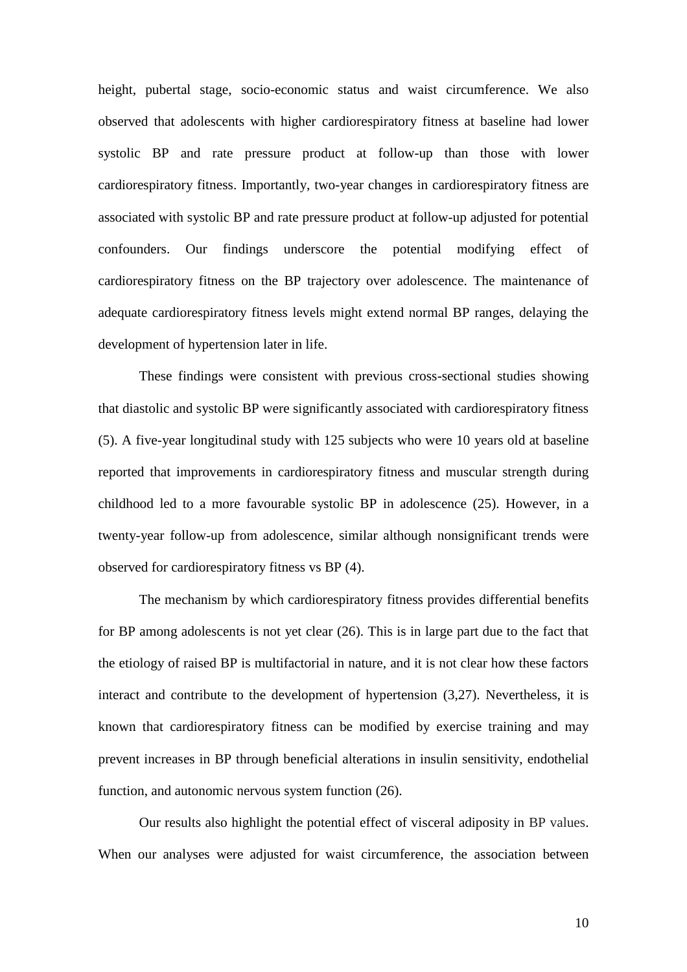height, pubertal stage, socio-economic status and waist circumference. We also observed that adolescents with higher cardiorespiratory fitness at baseline had lower systolic BP and rate pressure product at follow-up than those with lower cardiorespiratory fitness. Importantly, two-year changes in cardiorespiratory fitness are associated with systolic BP and rate pressure product at follow-up adjusted for potential confounders. Our findings underscore the potential modifying effect of cardiorespiratory fitness on the BP trajectory over adolescence. The maintenance of adequate cardiorespiratory fitness levels might extend normal BP ranges, delaying the development of hypertension later in life.

These findings were consistent with previous cross-sectional studies showing that diastolic and systolic BP were significantly associated with cardiorespiratory fitness (5). A five-year longitudinal study with 125 subjects who were 10 years old at baseline reported that improvements in cardiorespiratory fitness and muscular strength during childhood led to a more favourable systolic BP in adolescence (25). However, in a twenty-year follow-up from adolescence, similar although nonsignificant trends were observed for cardiorespiratory fitness vs BP (4).

The mechanism by which cardiorespiratory fitness provides differential benefits for BP among adolescents is not yet clear (26). This is in large part due to the fact that the etiology of raised BP is multifactorial in nature, and it is not clear how these factors interact and contribute to the development of hypertension (3,27). Nevertheless, it is known that cardiorespiratory fitness can be modified by exercise training and may prevent increases in BP through beneficial alterations in insulin sensitivity, endothelial function, and autonomic nervous system function (26).

Our results also highlight the potential effect of visceral adiposity in BP values. When our analyses were adjusted for waist circumference, the association between

10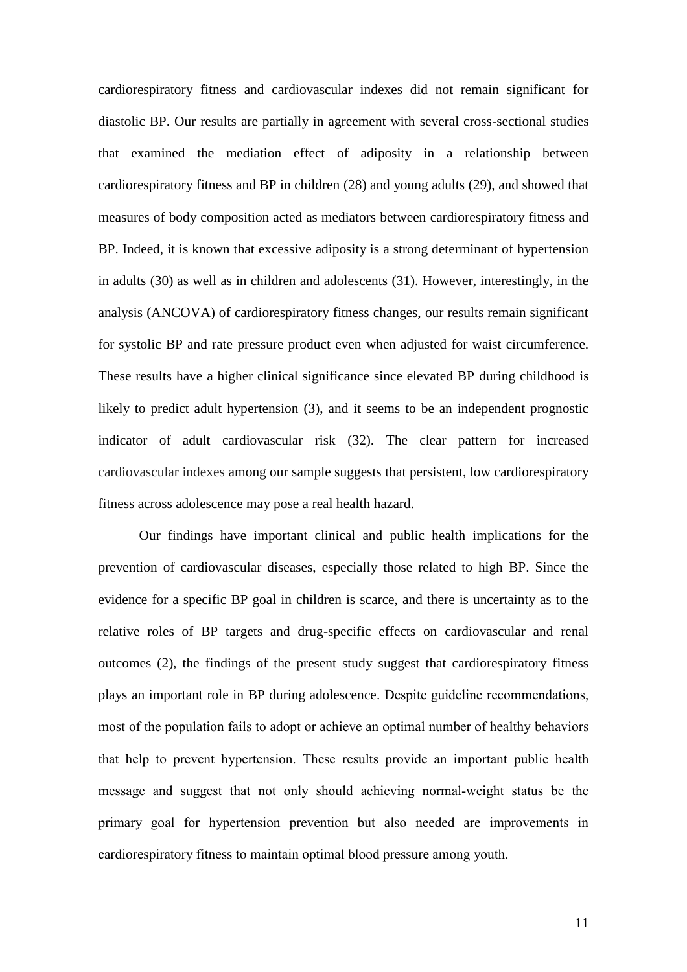cardiorespiratory fitness and cardiovascular indexes did not remain significant for diastolic BP. Our results are partially in agreement with several cross-sectional studies that examined the mediation effect of adiposity in a relationship between cardiorespiratory fitness and BP in children (28) and young adults (29), and showed that measures of body composition acted as mediators between cardiorespiratory fitness and BP. Indeed, it is known that excessive adiposity is a strong determinant of hypertension in adults (30) as well as in children and adolescents (31). However, interestingly, in the analysis (ANCOVA) of cardiorespiratory fitness changes, our results remain significant for systolic BP and rate pressure product even when adjusted for waist circumference. These results have a higher clinical significance since elevated BP during childhood is likely to predict adult hypertension (3), and it seems to be an independent prognostic indicator of adult cardiovascular risk (32). The clear pattern for increased cardiovascular indexes among our sample suggests that persistent, low cardiorespiratory fitness across adolescence may pose a real health hazard.

Our findings have important clinical and public health implications for the prevention of cardiovascular diseases, especially those related to high BP. Since the evidence for a specific BP goal in children is scarce, and there is uncertainty as to the relative roles of BP targets and drug-specific effects on cardiovascular and renal outcomes (2), the findings of the present study suggest that cardiorespiratory fitness plays an important role in BP during adolescence. Despite guideline recommendations, most of the population fails to adopt or achieve an optimal number of healthy behaviors that help to prevent hypertension. These results provide an important public health message and suggest that not only should achieving normal-weight status be the primary goal for hypertension prevention but also needed are improvements in cardiorespiratory fitness to maintain optimal blood pressure among youth.

11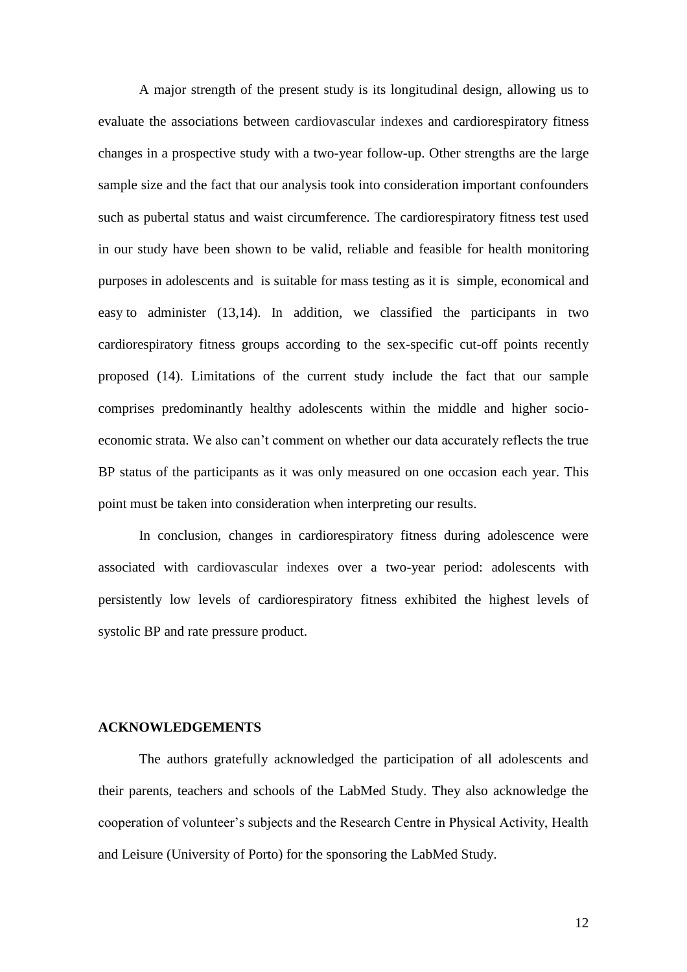A major strength of the present study is its longitudinal design, allowing us to evaluate the associations between cardiovascular indexes and cardiorespiratory fitness changes in a prospective study with a two-year follow-up. Other strengths are the large sample size and the fact that our analysis took into consideration important confounders such as pubertal status and waist circumference. The cardiorespiratory fitness test used in our study have been shown to be valid, reliable and feasible for health monitoring purposes in adolescents and is suitable for mass testing as it is simple, economical and easy to administer (13,14). In addition, we classified the participants in two cardiorespiratory fitness groups according to the sex-specific cut-off points recently proposed (14). Limitations of the current study include the fact that our sample comprises predominantly healthy adolescents within the middle and higher socioeconomic strata. We also can't comment on whether our data accurately reflects the true BP status of the participants as it was only measured on one occasion each year. This point must be taken into consideration when interpreting our results.

In conclusion, changes in cardiorespiratory fitness during adolescence were associated with cardiovascular indexes over a two-year period: adolescents with persistently low levels of cardiorespiratory fitness exhibited the highest levels of systolic BP and rate pressure product.

## **ACKNOWLEDGEMENTS**

The authors gratefully acknowledged the participation of all adolescents and their parents, teachers and schools of the LabMed Study. They also acknowledge the cooperation of volunteer's subjects and the Research Centre in Physical Activity, Health and Leisure (University of Porto) for the sponsoring the LabMed Study.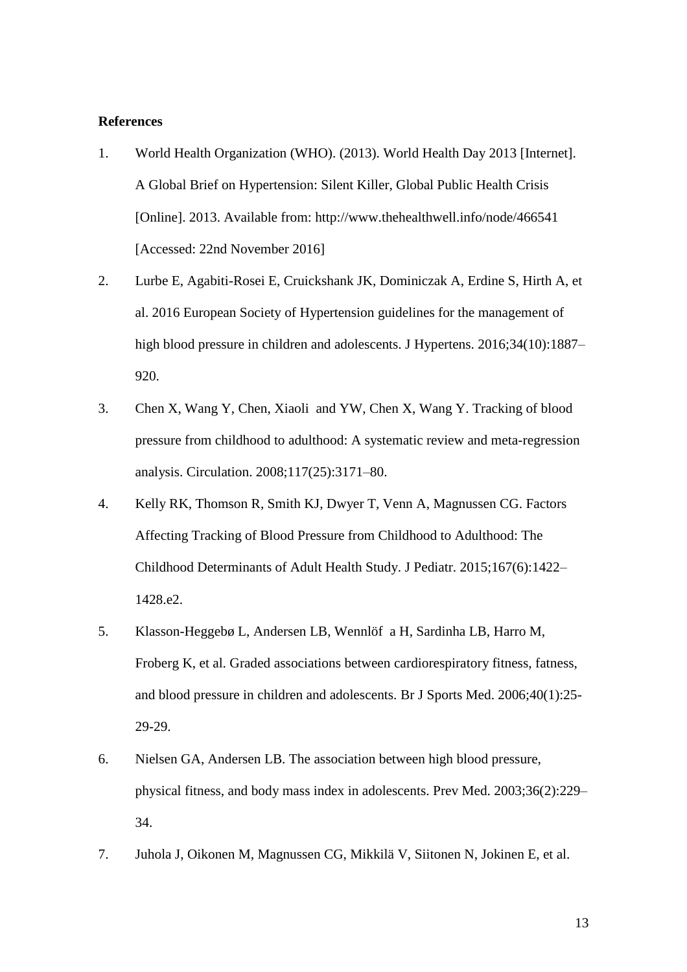# **References**

- 1. World Health Organization (WHO). (2013). World Health Day 2013 [Internet]. A Global Brief on Hypertension: Silent Killer, Global Public Health Crisis [Online]. 2013. Available from: http://www.thehealthwell.info/node/466541 [Accessed: 22nd November 2016]
- 2. Lurbe E, Agabiti-Rosei E, Cruickshank JK, Dominiczak A, Erdine S, Hirth A, et al. 2016 European Society of Hypertension guidelines for the management of high blood pressure in children and adolescents. J Hypertens. 2016;34(10):1887-920.
- 3. Chen X, Wang Y, Chen, Xiaoli and YW, Chen X, Wang Y. Tracking of blood pressure from childhood to adulthood: A systematic review and meta-regression analysis. Circulation. 2008;117(25):3171–80.
- 4. Kelly RK, Thomson R, Smith KJ, Dwyer T, Venn A, Magnussen CG. Factors Affecting Tracking of Blood Pressure from Childhood to Adulthood: The Childhood Determinants of Adult Health Study. J Pediatr. 2015;167(6):1422– 1428.e2.
- 5. Klasson-Heggebø L, Andersen LB, Wennlöf a H, Sardinha LB, Harro M, Froberg K, et al. Graded associations between cardiorespiratory fitness, fatness, and blood pressure in children and adolescents. Br J Sports Med. 2006;40(1):25- 29-29.
- 6. Nielsen GA, Andersen LB. The association between high blood pressure, physical fitness, and body mass index in adolescents. Prev Med. 2003;36(2):229– 34.
- 7. Juhola J, Oikonen M, Magnussen CG, Mikkilä V, Siitonen N, Jokinen E, et al.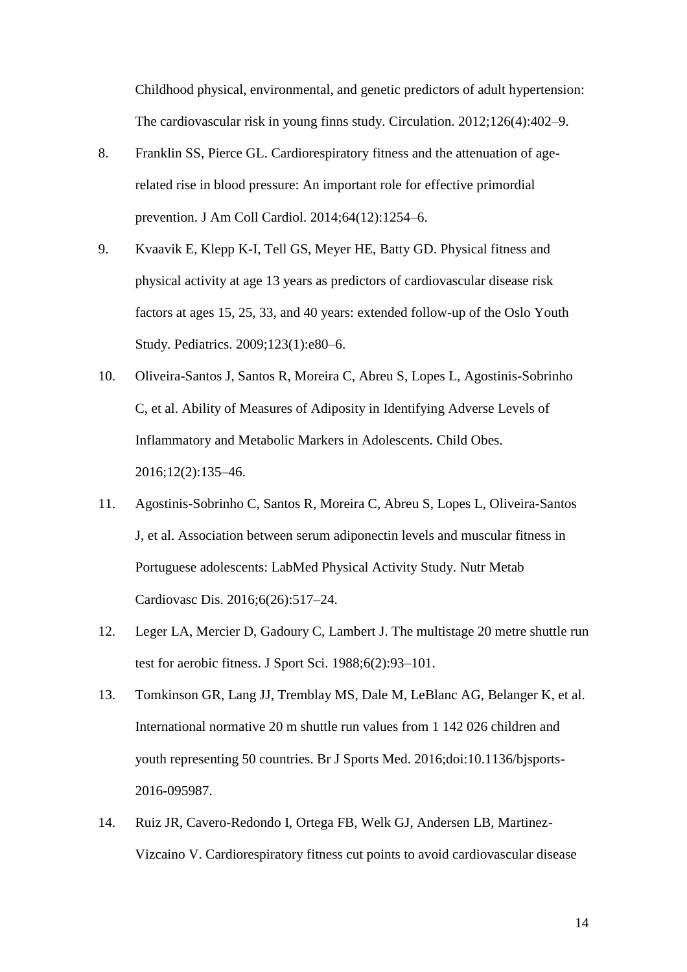Childhood physical, environmental, and genetic predictors of adult hypertension: The cardiovascular risk in young finns study. Circulation. 2012;126(4):402–9.

- 8. Franklin SS, Pierce GL. Cardiorespiratory fitness and the attenuation of agerelated rise in blood pressure: An important role for effective primordial prevention. J Am Coll Cardiol. 2014;64(12):1254–6.
- 9. Kvaavik E, Klepp K-I, Tell GS, Meyer HE, Batty GD. Physical fitness and physical activity at age 13 years as predictors of cardiovascular disease risk factors at ages 15, 25, 33, and 40 years: extended follow-up of the Oslo Youth Study. Pediatrics. 2009;123(1):e80–6.
- 10. Oliveira-Santos J, Santos R, Moreira C, Abreu S, Lopes L, Agostinis-Sobrinho C, et al. Ability of Measures of Adiposity in Identifying Adverse Levels of Inflammatory and Metabolic Markers in Adolescents. Child Obes. 2016;12(2):135–46.
- 11. Agostinis-Sobrinho C, Santos R, Moreira C, Abreu S, Lopes L, Oliveira-Santos J, et al. Association between serum adiponectin levels and muscular fitness in Portuguese adolescents: LabMed Physical Activity Study. Nutr Metab Cardiovasc Dis. 2016;6(26):517–24.
- 12. Leger LA, Mercier D, Gadoury C, Lambert J. The multistage 20 metre shuttle run test for aerobic fitness. J Sport Sci. 1988;6(2):93–101.
- 13. Tomkinson GR, Lang JJ, Tremblay MS, Dale M, LeBlanc AG, Belanger K, et al. International normative 20 m shuttle run values from 1 142 026 children and youth representing 50 countries. Br J Sports Med. 2016;doi:10.1136/bjsports-2016-095987.
- 14. Ruiz JR, Cavero-Redondo I, Ortega FB, Welk GJ, Andersen LB, Martinez-Vizcaino V. Cardiorespiratory fitness cut points to avoid cardiovascular disease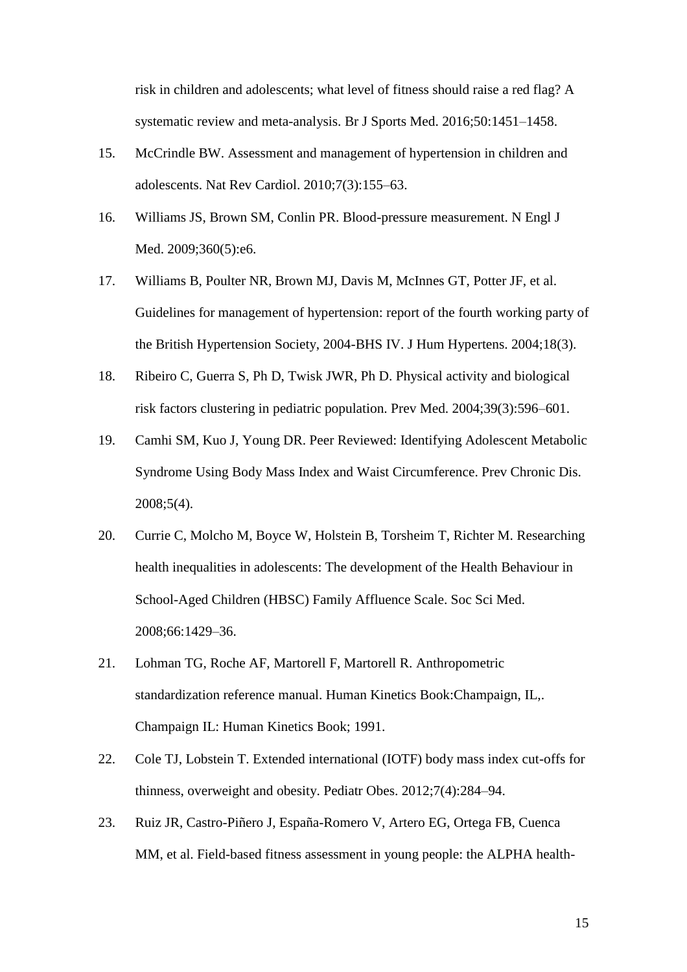risk in children and adolescents; what level of fitness should raise a red flag? A systematic review and meta-analysis. Br J Sports Med. 2016;50:1451–1458.

- 15. McCrindle BW. Assessment and management of hypertension in children and adolescents. Nat Rev Cardiol. 2010;7(3):155–63.
- 16. Williams JS, Brown SM, Conlin PR. Blood-pressure measurement. N Engl J Med. 2009;360(5):e6.
- 17. Williams B, Poulter NR, Brown MJ, Davis M, McInnes GT, Potter JF, et al. Guidelines for management of hypertension: report of the fourth working party of the British Hypertension Society, 2004-BHS IV. J Hum Hypertens. 2004;18(3).
- 18. Ribeiro C, Guerra S, Ph D, Twisk JWR, Ph D. Physical activity and biological risk factors clustering in pediatric population. Prev Med. 2004;39(3):596–601.
- 19. Camhi SM, Kuo J, Young DR. Peer Reviewed: Identifying Adolescent Metabolic Syndrome Using Body Mass Index and Waist Circumference. Prev Chronic Dis. 2008;5(4).
- 20. Currie C, Molcho M, Boyce W, Holstein B, Torsheim T, Richter M. Researching health inequalities in adolescents: The development of the Health Behaviour in School-Aged Children (HBSC) Family Affluence Scale. Soc Sci Med. 2008;66:1429–36.
- 21. Lohman TG, Roche AF, Martorell F, Martorell R. Anthropometric standardization reference manual. Human Kinetics Book:Champaign, IL,. Champaign IL: Human Kinetics Book; 1991.
- 22. Cole TJ, Lobstein T. Extended international (IOTF) body mass index cut-offs for thinness, overweight and obesity. Pediatr Obes. 2012;7(4):284–94.
- 23. Ruiz JR, Castro-Piñero J, España-Romero V, Artero EG, Ortega FB, Cuenca MM, et al. Field-based fitness assessment in young people: the ALPHA health-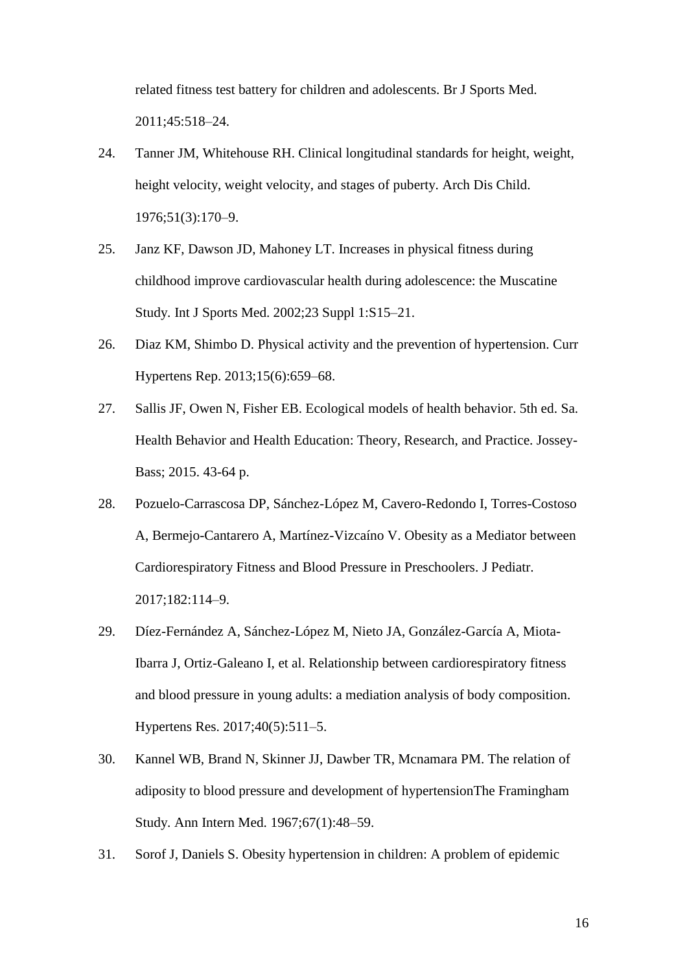related fitness test battery for children and adolescents. Br J Sports Med. 2011;45:518–24.

- 24. Tanner JM, Whitehouse RH. Clinical longitudinal standards for height, weight, height velocity, weight velocity, and stages of puberty. Arch Dis Child. 1976;51(3):170–9.
- 25. Janz KF, Dawson JD, Mahoney LT. Increases in physical fitness during childhood improve cardiovascular health during adolescence: the Muscatine Study. Int J Sports Med. 2002;23 Suppl 1:S15–21.
- 26. Diaz KM, Shimbo D. Physical activity and the prevention of hypertension. Curr Hypertens Rep. 2013;15(6):659–68.
- 27. Sallis JF, Owen N, Fisher EB. Ecological models of health behavior. 5th ed. Sa. Health Behavior and Health Education: Theory, Research, and Practice. Jossey-Bass; 2015. 43-64 p.
- 28. Pozuelo-Carrascosa DP, Sánchez-López M, Cavero-Redondo I, Torres-Costoso A, Bermejo-Cantarero A, Martínez-Vizcaíno V. Obesity as a Mediator between Cardiorespiratory Fitness and Blood Pressure in Preschoolers. J Pediatr. 2017;182:114–9.
- 29. Díez-Fernández A, Sánchez-López M, Nieto JA, González-García A, Miota-Ibarra J, Ortiz-Galeano I, et al. Relationship between cardiorespiratory fitness and blood pressure in young adults: a mediation analysis of body composition. Hypertens Res. 2017;40(5):511–5.
- 30. Kannel WB, Brand N, Skinner JJ, Dawber TR, Mcnamara PM. The relation of adiposity to blood pressure and development of hypertensionThe Framingham Study. Ann Intern Med. 1967;67(1):48–59.
- 31. Sorof J, Daniels S. Obesity hypertension in children: A problem of epidemic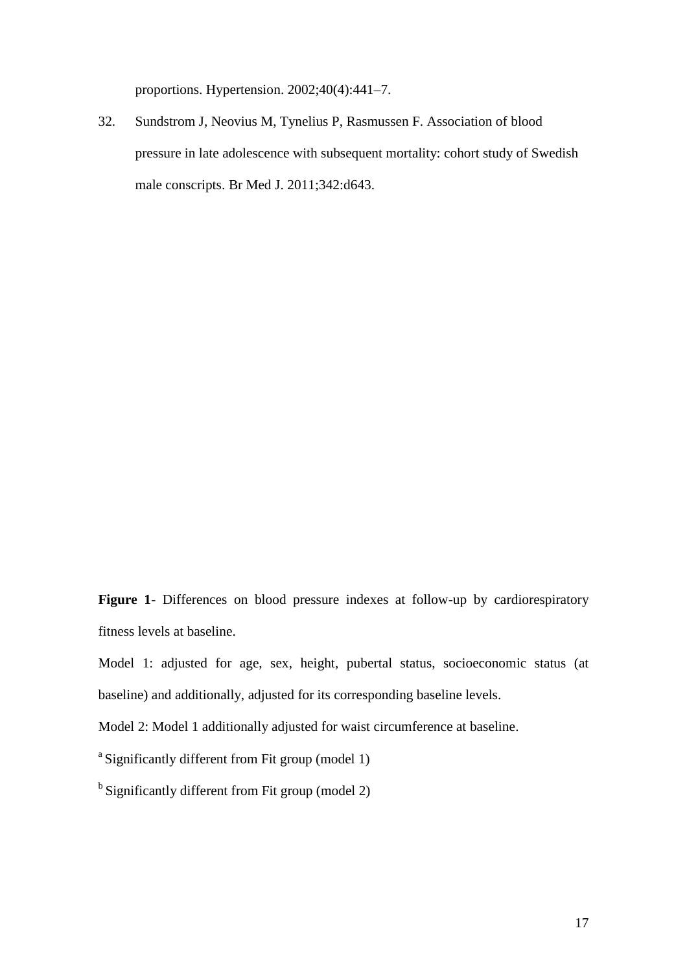proportions. Hypertension. 2002;40(4):441–7.

32. Sundstrom J, Neovius M, Tynelius P, Rasmussen F. Association of blood pressure in late adolescence with subsequent mortality: cohort study of Swedish male conscripts. Br Med J. 2011;342:d643.

**Figure 1**- Differences on blood pressure indexes at follow-up by cardiorespiratory fitness levels at baseline.

Model 1: adjusted for age, sex, height, pubertal status, socioeconomic status (at baseline) and additionally, adjusted for its corresponding baseline levels.

Model 2: Model 1 additionally adjusted for waist circumference at baseline.

<sup>a</sup> Significantly different from Fit group (model 1)

 $<sup>b</sup>$  Significantly different from Fit group (model 2)</sup>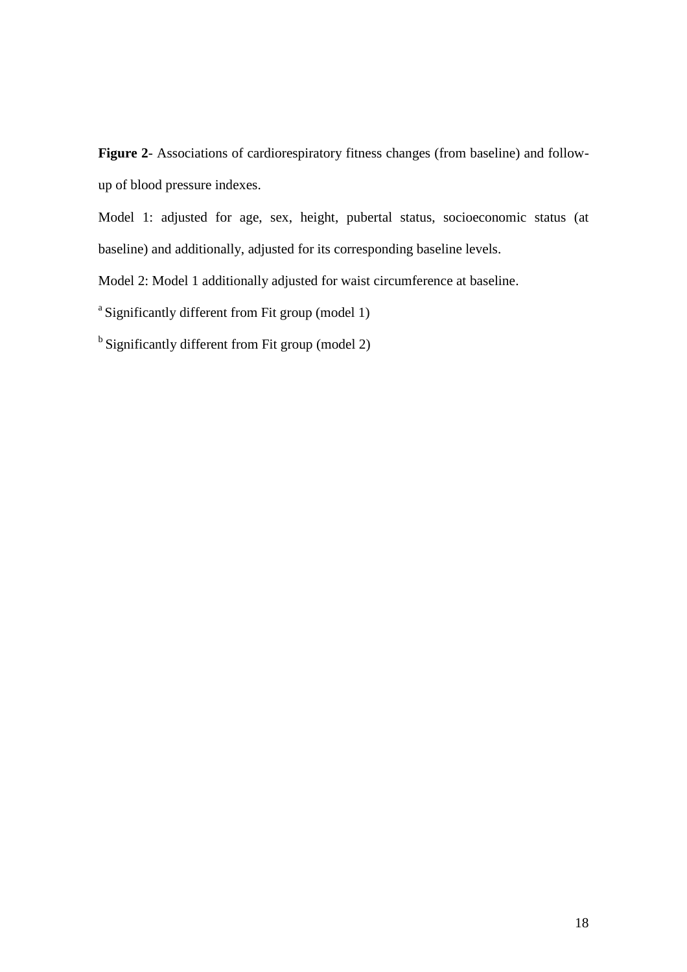**Figure 2**- Associations of cardiorespiratory fitness changes (from baseline) and followup of blood pressure indexes.

Model 1: adjusted for age, sex, height, pubertal status, socioeconomic status (at baseline) and additionally, adjusted for its corresponding baseline levels.

Model 2: Model 1 additionally adjusted for waist circumference at baseline.

<sup>a</sup> Significantly different from Fit group (model 1)

 $<sup>b</sup>$  Significantly different from Fit group (model 2)</sup>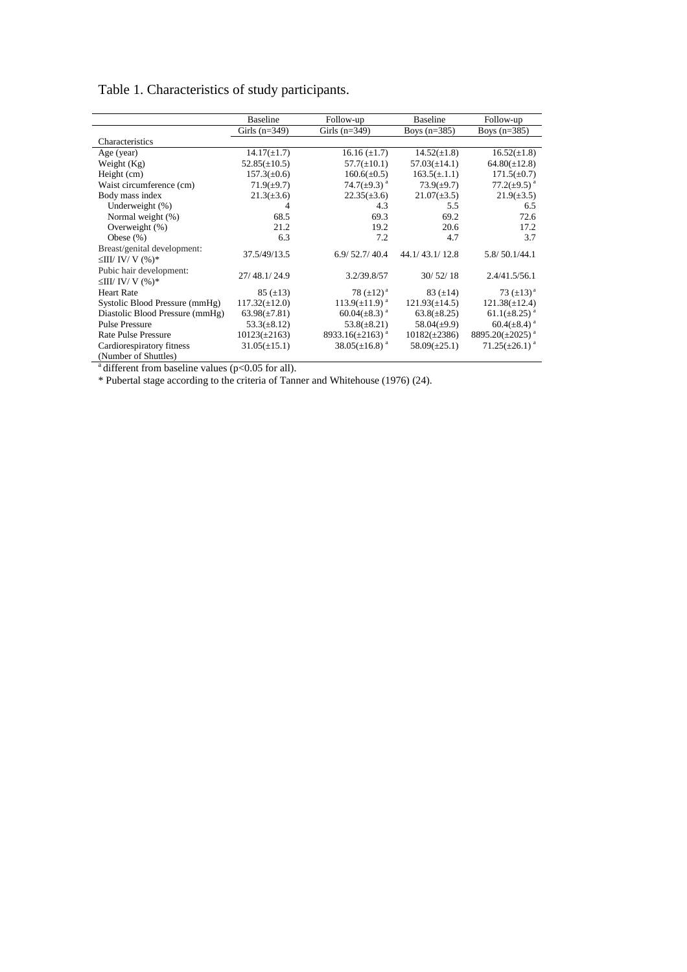|                                                    | <b>Baseline</b>    | Follow-up                         | <b>Baseline</b>    | Follow-up                         |
|----------------------------------------------------|--------------------|-----------------------------------|--------------------|-----------------------------------|
|                                                    | Girls $(n=349)$    | Girls $(n=349)$                   | Boys $(n=385)$     | Boys $(n=385)$                    |
| Characteristics                                    |                    |                                   |                    |                                   |
| Age (year)                                         | $14.17(\pm 1.7)$   | $16.16 (\pm 1.7)$                 | $14.52(\pm 1.8)$   | $16.52(\pm 1.8)$                  |
| Weight (Kg)                                        | $52.85(\pm 10.5)$  | $57.7(\pm 10.1)$                  | $57.03(\pm 14.1)$  | $64.80(\pm 12.8)$                 |
| Height (cm)                                        | $157.3(\pm 0.6)$   | $160.6(\pm 0.5)$                  | $163.5(\pm.1.1)$   | $171.5(\pm 0.7)$                  |
| Waist circumference (cm)                           | $71.9(\pm 9.7)$    | 74.7( $\pm$ 9.3) <sup>a</sup>     | $73.9(\pm 9.7)$    | $77.2(\pm 9.5)^{a}$               |
| Body mass index                                    | $21.3(\pm 3.6)$    | $22.35(\pm 3.6)$                  | $21.07(\pm 3.5)$   | $21.9(\pm 3.5)$                   |
| Underweight (%)                                    | 4                  | 4.3                               | 5.5                | 6.5                               |
| Normal weight (%)                                  | 68.5               | 69.3                              | 69.2               | 72.6                              |
| Overweight (%)                                     | 21.2               | 19.2                              | 20.6               | 17.2                              |
| Obese $(\%)$                                       | 6.3                | 7.2                               | 4.7                | 3.7                               |
| Breast/genital development:<br>$\leq$ III/IV/V(%)* | 37.5/49/13.5       | 6.9/52.7/40.4                     | 44.1/43.1/12.8     | 5.8/50.1/44.1                     |
| Pubic hair development:<br>$\leq$ III/IV/V(%)*     | 27/48.1/24.9       | 3.2/39.8/57                       | 30/52/18           | 2.4/41.5/56.1                     |
| <b>Heart Rate</b>                                  | $85 (\pm 13)$      | 78 $(\pm 12)^{a}$                 | 83 $(\pm 14)$      | 73 $(\pm 13)^a$                   |
| Systolic Blood Pressure (mmHg)                     | $117.32(\pm 12.0)$ | $113.9(\pm 11.9)^{a}$             | $121.93(\pm 14.5)$ | $121.38(\pm 12.4)$                |
| Diastolic Blood Pressure (mmHg)                    | $63.98(\pm 7.81)$  | 60.04( $\pm$ 8.3) <sup>a</sup>    | $63.8(\pm 8.25)$   | $61.1(\pm 8.25)^{a}$              |
| <b>Pulse Pressure</b>                              | $53.3(\pm 8.12)$   | $53.8(\pm 8.21)$                  | $58.04(\pm 9.9)$   | $60.4(\pm 8.4)^{a}$               |
| <b>Rate Pulse Pressure</b>                         | $10123(\pm 2163)$  | 8933.16( $\pm$ 2163) <sup>a</sup> | $10182(\pm 2386)$  | 8895.20( $\pm$ 2025) <sup>a</sup> |
| Cardiorespiratory fitness                          | $31.05(\pm 15.1)$  | $38.05(\pm 16.8)^{a}$             | $58.09(\pm 25.1)$  | $71.25(\pm 26.1)^{a}$             |
| (Number of Shuttles)                               |                    |                                   |                    |                                   |

# Table 1. Characteristics of study participants.

 $a^a$  different from baseline values (p<0.05 for all).

\* Pubertal stage according to the criteria of Tanner and Whitehouse (1976) (24).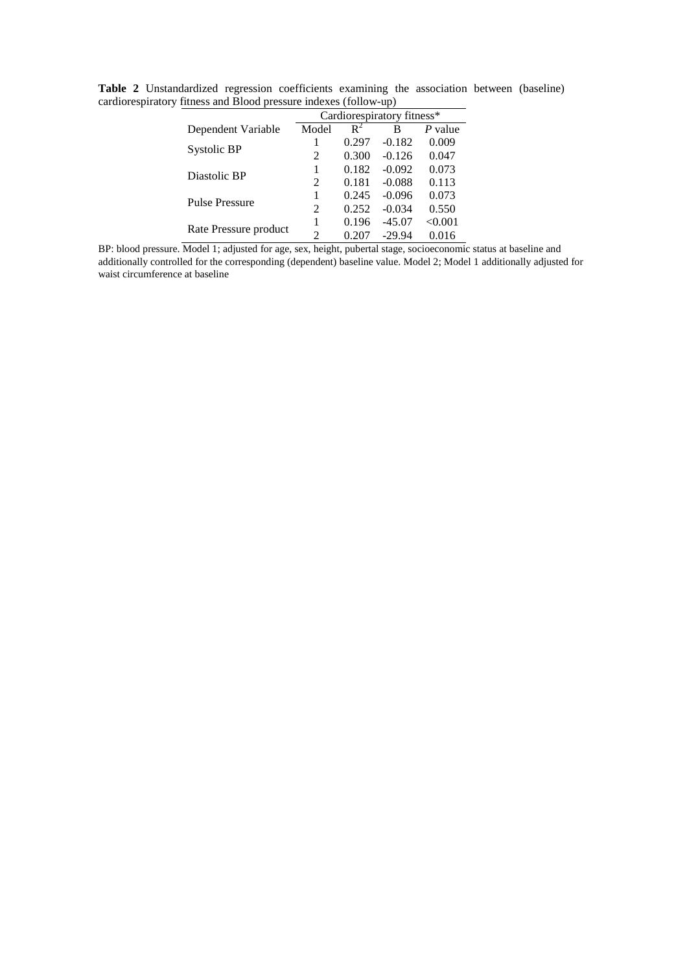|                       |                | Cardiorespiratory fitness* |          |         |  |  |
|-----------------------|----------------|----------------------------|----------|---------|--|--|
| Dependent Variable    | Model          | $R^2$                      | В        | P value |  |  |
|                       |                | 0.297                      | $-0.182$ | 0.009   |  |  |
| Systolic BP           | $\mathfrak{D}$ | 0.300                      | $-0.126$ | 0.047   |  |  |
| Diastolic BP          |                | 0.182                      | $-0.092$ | 0.073   |  |  |
|                       | $\mathfrak{D}$ | 0.181                      | $-0.088$ | 0.113   |  |  |
| <b>Pulse Pressure</b> |                | 0.245                      | $-0.096$ | 0.073   |  |  |
|                       | 2              | 0.252                      | $-0.034$ | 0.550   |  |  |
|                       |                | 0.196                      | $-45.07$ | < 0.001 |  |  |
| Rate Pressure product | 2              | 0.207                      | $-29.94$ | 0.016   |  |  |

**Table 2** Unstandardized regression coefficients examining the association between (baseline) cardiorespiratory fitness and Blood pressure indexes (follow-up)  $\overline{a}$ 

BP: blood pressure. Model 1; adjusted for age, sex, height, pubertal stage, socioeconomic status at baseline and additionally controlled for the corresponding (dependent) baseline value. Model 2; Model 1 additionally adjusted for waist circumference at baseline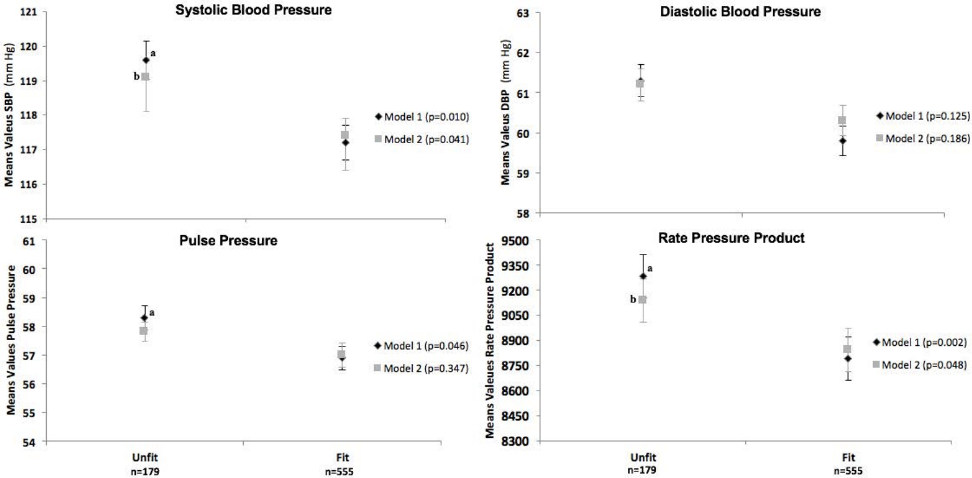